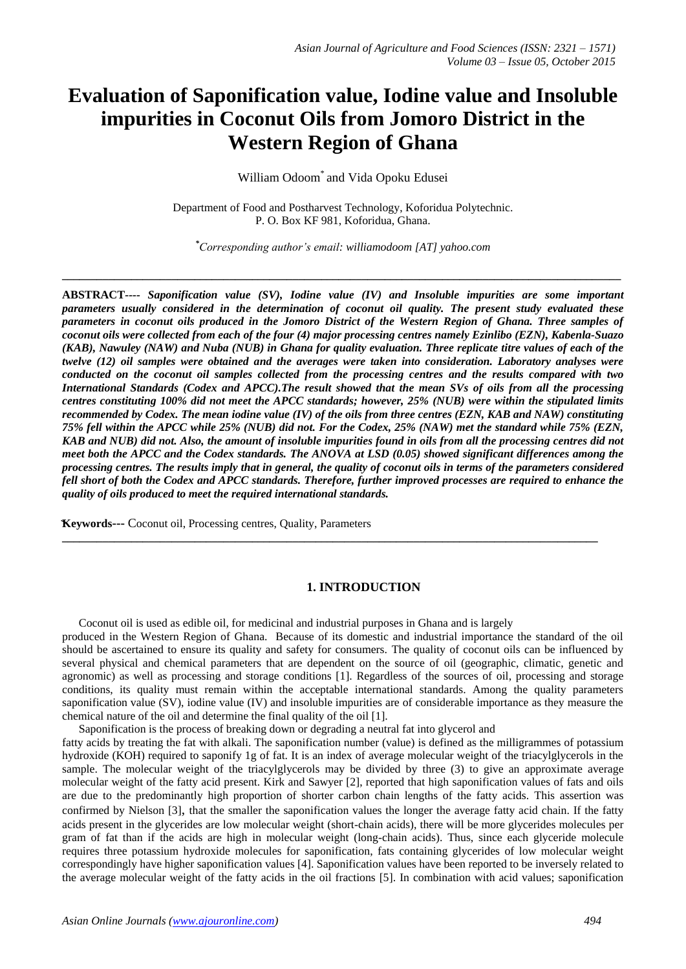# **Evaluation of Saponification value, Iodine value and Insoluble impurities in Coconut Oils from Jomoro District in the Western Region of Ghana**

William Odoom\* and Vida Opoku Edusei

Department of Food and Postharvest Technology, Koforidua Polytechnic. P. O. Box KF 981, Koforidua, Ghana.

*\*Corresponding author's email: williamodoom [AT] yahoo.com*

**\_\_\_\_\_\_\_\_\_\_\_\_\_\_\_\_\_\_\_\_\_\_\_\_\_\_\_\_\_\_\_\_\_\_\_\_\_\_\_\_\_\_\_\_\_\_\_\_\_\_\_\_\_\_\_\_\_\_\_\_\_\_\_\_\_\_\_\_\_\_\_\_\_\_\_\_\_\_\_\_\_\_\_\_\_\_\_\_\_\_\_\_\_\_\_\_\_**

**ABSTRACT***---- Saponification value (SV), Iodine value (IV) and Insoluble impurities are some important parameters usually considered in the determination of coconut oil quality. The present study evaluated these parameters in coconut oils produced in the Jomoro District of the Western Region of Ghana. Three samples of coconut oils were collected from each of the four (4) major processing centres namely Ezinlibo (EZN), Kabenla-Suazo (KAB), Nawuley (NAW) and Nuba (NUB) in Ghana for quality evaluation. Three replicate titre values of each of the twelve (12) oil samples were obtained and the averages were taken into consideration. Laboratory analyses were conducted on the coconut oil samples collected from the processing centres and the results compared with two International Standards (Codex and APCC).The result showed that the mean SVs of oils from all the processing centres constituting 100% did not meet the APCC standards; however, 25% (NUB) were within the stipulated limits recommended by Codex. The mean iodine value (IV) of the oils from three centres (EZN, KAB and NAW) constituting 75% fell within the APCC while 25% (NUB) did not. For the Codex, 25% (NAW) met the standard while 75% (EZN, KAB and NUB) did not. Also, the amount of insoluble impurities found in oils from all the processing centres did not meet both the APCC and the Codex standards. The ANOVA at LSD (0.05) showed significant differences among the processing centres. The results imply that in general, the quality of coconut oils in terms of the parameters considered fell short of both the Codex and APCC standards. Therefore, further improved processes are required to enhance the quality of oils produced to meet the required international standards.*

**Keywords---** Coconut oil, Processing centres, Quality, Parameters

#### **1. INTRODUCTION**

Coconut oil is used as edible oil, for medicinal and industrial purposes in Ghana and is largely

produced in the Western Region of Ghana. Because of its domestic and industrial importance the standard of the oil should be ascertained to ensure its quality and safety for consumers. The quality of coconut oils can be influenced by several physical and chemical parameters that are dependent on the source of oil (geographic, climatic, genetic and agronomic) as well as processing and storage conditions [1]. Regardless of the sources of oil, processing and storage conditions, its quality must remain within the acceptable international standards. Among the quality parameters saponification value (SV), iodine value (IV) and insoluble impurities are of considerable importance as they measure the chemical nature of the oil and determine the final quality of the oil [1].

**\_\_\_\_\_\_\_\_\_\_\_\_\_\_\_\_\_\_\_\_\_\_\_\_\_\_\_\_\_\_\_\_\_\_\_\_\_\_\_\_\_\_\_\_\_\_\_\_\_\_\_\_\_\_\_\_\_\_\_\_\_\_\_\_\_\_\_\_\_\_\_\_\_\_\_\_\_\_\_\_\_\_\_\_\_\_\_\_\_\_\_\_\_**

Saponification is the process of breaking down or degrading a neutral fat into glycerol and

fatty acids by treating the fat with alkali. The saponification number (value) is defined as the milligrammes of potassium hydroxide (KOH) required to saponify 1g of fat. It is an index of average molecular weight of the triacylglycerols in the sample. The molecular weight of the triacylglycerols may be divided by three (3) to give an approximate average molecular weight of the fatty acid present. Kirk and Sawyer [2], reported that high saponification values of fats and oils are due to the predominantly high proportion of shorter carbon chain lengths of the fatty acids. This assertion was confirmed by Nielson [3], that the smaller the saponification values the longer the average fatty acid chain. If the fatty acids present in the glycerides are low molecular weight (short-chain acids), there will be more glycerides molecules per gram of fat than if the acids are high in molecular weight (long-chain acids). Thus, since each glyceride molecule requires three potassium hydroxide molecules for saponification, fats containing glycerides of low molecular weight correspondingly have higher saponification values [4]. Saponification values have been reported to be inversely related to the average molecular weight of the fatty acids in the oil fractions [5]. In combination with acid values; saponification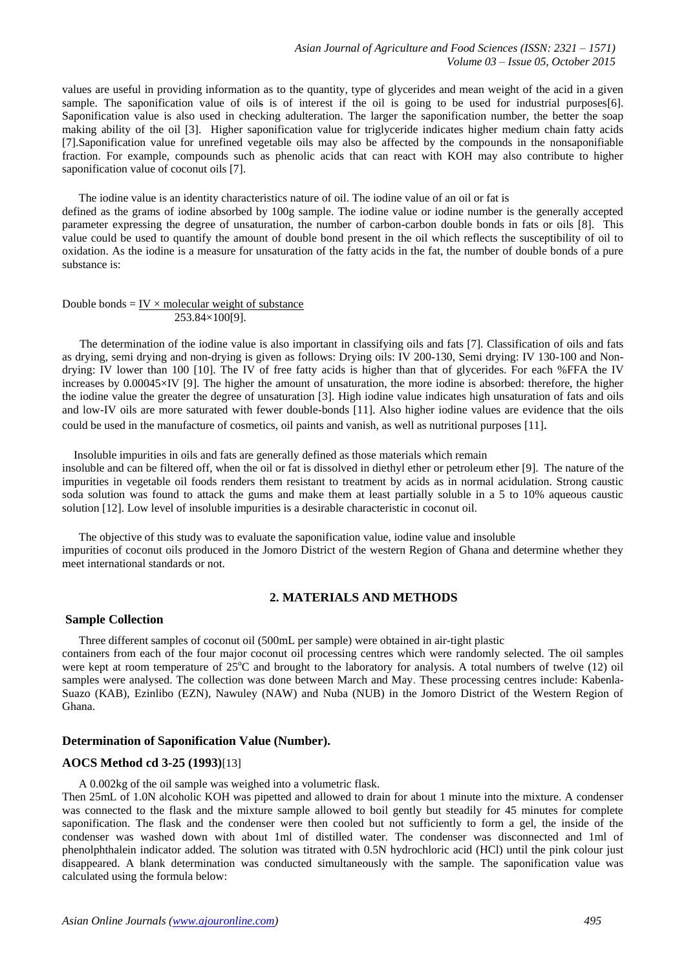values are useful in providing information as to the quantity, type of glycerides and mean weight of the acid in a given sample. The saponification value of oils is of interest if the oil is going to be used for industrial purposes [6]. Saponification value is also used in checking adulteration. The larger the saponification number, the better the soap making ability of the oil [3]. Higher saponification value for triglyceride indicates higher medium chain fatty acids [7].Saponification value for unrefined vegetable oils may also be affected by the compounds in the nonsaponifiable fraction. For example, compounds such as phenolic acids that can react with KOH may also contribute to higher saponification value of coconut oils [7].

The iodine value is an identity characteristics nature of oil. The iodine value of an oil or fat is defined as the grams of iodine absorbed by 100g sample. The iodine value or iodine number is the generally accepted parameter expressing the degree of unsaturation, the number of carbon-carbon double bonds in fats or oils [8]. This value could be used to quantify the amount of double bond present in the oil which reflects the susceptibility of oil to oxidation. As the iodine is a measure for unsaturation of the fatty acids in the fat, the number of double bonds of a pure substance is:

Double bonds =  $IV × molecular weight of substance$ </u> 253.84×100[9].

 The determination of the iodine value is also important in classifying oils and fats [7]. Classification of oils and fats as drying, semi drying and non-drying is given as follows: Drying oils: IV 200-130, Semi drying: IV 130-100 and Nondrying: IV lower than 100 [10]. The IV of free fatty acids is higher than that of glycerides. For each %FFA the IV increases by 0.00045×IV [9]. The higher the amount of unsaturation, the more iodine is absorbed: therefore, the higher the iodine value the greater the degree of unsaturation [3]. High iodine value indicates high unsaturation of fats and oils and low-IV oils are more saturated with fewer double-bonds [11]. Also higher iodine values are evidence that the oils could be used in the manufacture of cosmetics, oil paints and vanish, as well as nutritional purposes [11].

Insoluble impurities in oils and fats are generally defined as those materials which remain

insoluble and can be filtered off, when the oil or fat is dissolved in diethyl ether or petroleum ether [9]. The nature of the impurities in vegetable oil foods renders them resistant to treatment by acids as in normal acidulation. Strong caustic soda solution was found to attack the gums and make them at least partially soluble in a 5 to 10% aqueous caustic solution [12]. Low level of insoluble impurities is a desirable characteristic in coconut oil.

The objective of this study was to evaluate the saponification value, iodine value and insoluble impurities of coconut oils produced in the Jomoro District of the western Region of Ghana and determine whether they meet international standards or not.

# **2. MATERIALS AND METHODS**

## **Sample Collection**

Three different samples of coconut oil (500mL per sample) were obtained in air-tight plastic

containers from each of the four major coconut oil processing centres which were randomly selected. The oil samples were kept at room temperature of  $25^{\circ}$ C and brought to the laboratory for analysis. A total numbers of twelve (12) oil samples were analysed. The collection was done between March and May. These processing centres include: Kabenla-Suazo (KAB), Ezinlibo (EZN), Nawuley (NAW) and Nuba (NUB) in the Jomoro District of the Western Region of Ghana.

## **Determination of Saponification Value (Number).**

# **AOCS Method cd 3-25 (1993)**[13]

A 0.002kg of the oil sample was weighed into a volumetric flask.

Then 25mL of 1.0N alcoholic KOH was pipetted and allowed to drain for about 1 minute into the mixture. A condenser was connected to the flask and the mixture sample allowed to boil gently but steadily for 45 minutes for complete saponification. The flask and the condenser were then cooled but not sufficiently to form a gel, the inside of the condenser was washed down with about 1ml of distilled water. The condenser was disconnected and 1ml of phenolphthalein indicator added. The solution was titrated with 0.5N hydrochloric acid (HCl) until the pink colour just disappeared. A blank determination was conducted simultaneously with the sample. The saponification value was calculated using the formula below: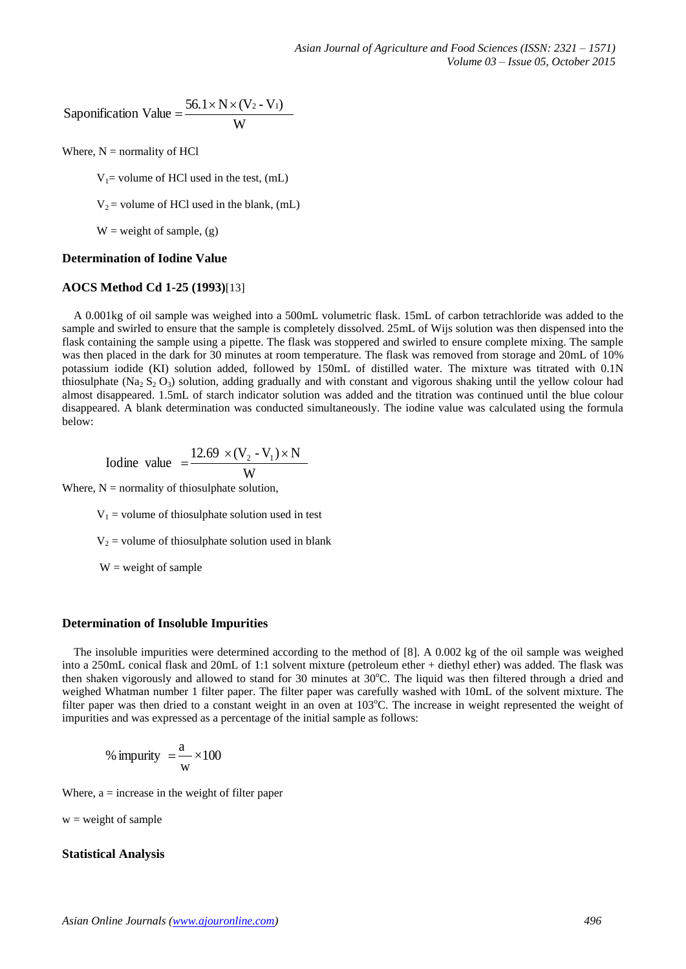Saponification Value = 
$$
\frac{56.1 \times N \times (V_2 - V_1)}{W}
$$

Where,  $N =$  normality of HCl

 $V_1$ = volume of HCl used in the test, (mL)

 $V_2$  = volume of HCl used in the blank, (mL)

 $W = weight of sample, (g)$ 

#### **Determination of Iodine Value**

## **AOCS Method Cd 1-25 (1993)**[13]

 A 0.001kg of oil sample was weighed into a 500mL volumetric flask. 15mL of carbon tetrachloride was added to the sample and swirled to ensure that the sample is completely dissolved. 25mL of Wijs solution was then dispensed into the flask containing the sample using a pipette. The flask was stoppered and swirled to ensure complete mixing. The sample was then placed in the dark for 30 minutes at room temperature. The flask was removed from storage and 20mL of 10% potassium iodide (KI) solution added, followed by 150mL of distilled water. The mixture was titrated with 0.1N thiosulphate (Na<sub>2</sub> S<sub>2</sub>O<sub>3</sub>) solution, adding gradually and with constant and vigorous shaking until the yellow colour had almost disappeared. 1.5mL of starch indicator solution was added and the titration was continued until the blue colour disappeared. A blank determination was conducted simultaneously. The iodine value was calculated using the formula below:

Iodine value 
$$
=\frac{12.69 \times (V_2 - V_1) \times N}{W}
$$

Where,  $N =$  normality of thiosulphate solution,

 $V_1$  = volume of thiosulphate solution used in test

 $V_2$  = volume of thiosulphate solution used in blank

 $W = weight of sample$ 

#### **Determination of Insoluble Impurities**

 The insoluble impurities were determined according to the method of [8]. A 0.002 kg of the oil sample was weighed into a 250mL conical flask and 20mL of 1:1 solvent mixture (petroleum ether + diethyl ether) was added. The flask was then shaken vigorously and allowed to stand for 30 minutes at  $30^{\circ}$ C. The liquid was then filtered through a dried and weighed Whatman number 1 filter paper. The filter paper was carefully washed with 10mL of the solvent mixture. The filter paper was then dried to a constant weight in an oven at  $103^{\circ}$ C. The increase in weight represented the weight of impurities and was expressed as a percentage of the initial sample as follows:

% impurity = 
$$
\frac{a}{w} \times 100
$$

Where,  $a =$  increase in the weight of filter paper

 $w = weight of sample$ 

## **Statistical Analysis**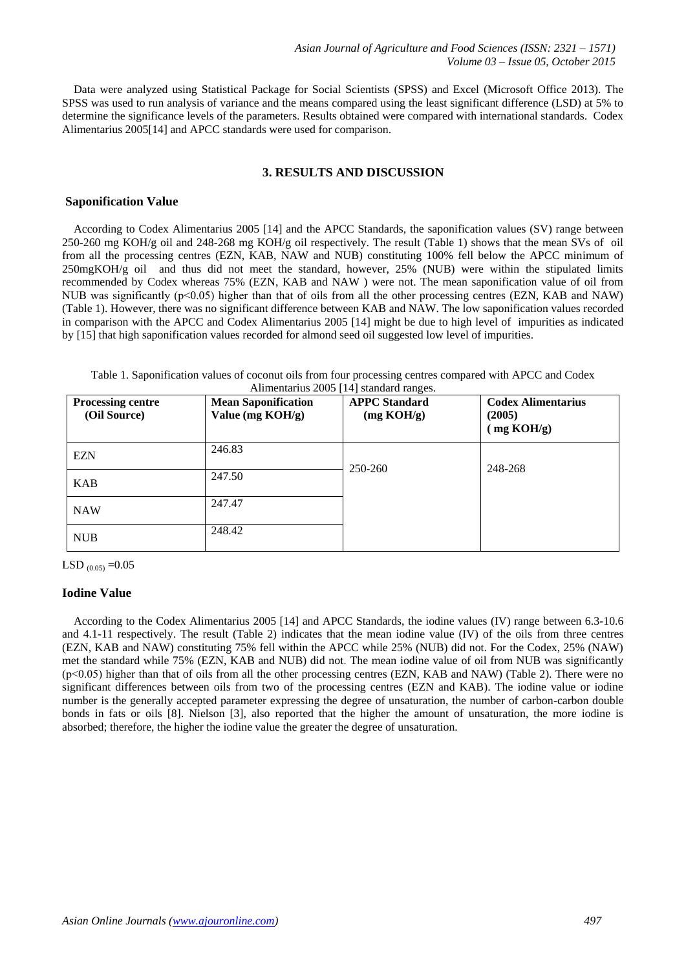Data were analyzed using Statistical Package for Social Scientists (SPSS) and Excel (Microsoft Office 2013). The SPSS was used to run analysis of variance and the means compared using the least significant difference (LSD) at 5% to determine the significance levels of the parameters. Results obtained were compared with international standards. Codex Alimentarius 2005[14] and APCC standards were used for comparison.

# **3. RESULTS AND DISCUSSION**

#### **Saponification Value**

 According to Codex Alimentarius 2005 [14] and the APCC Standards, the saponification values (SV) range between 250-260 mg KOH/g oil and 248-268 mg KOH/g oil respectively. The result (Table 1) shows that the mean SVs of oil from all the processing centres (EZN, KAB, NAW and NUB) constituting 100% fell below the APCC minimum of 250mgKOH/g oil and thus did not meet the standard, however, 25% (NUB) were within the stipulated limits recommended by Codex whereas 75% (EZN, KAB and NAW ) were not. The mean saponification value of oil from NUB was significantly (p<0.05) higher than that of oils from all the other processing centres (EZN, KAB and NAW) (Table 1). However, there was no significant difference between KAB and NAW. The low saponification values recorded in comparison with the APCC and Codex Alimentarius 2005 [14] might be due to high level of impurities as indicated by [15] that high saponification values recorded for almond seed oil suggested low level of impurities.

| Table 1. Saponification values of coconut oils from four processing centres compared with APCC and Codex |                                        |  |  |  |
|----------------------------------------------------------------------------------------------------------|----------------------------------------|--|--|--|
|                                                                                                          | Alimentarius 2005 [14] standard ranges |  |  |  |

| <b>Processing centre</b><br>(Oil Source) | <b>Mean Saponification</b><br>Value (mg KOH/g) | <b>APPC</b> Standard<br>(mg KOH/g) | <b>Codex Alimentarius</b><br>(2005)<br>mg KOH/g |
|------------------------------------------|------------------------------------------------|------------------------------------|-------------------------------------------------|
| <b>EZN</b>                               | 246.83                                         | 250-260                            | 248-268                                         |
| <b>KAB</b>                               | 247.50                                         |                                    |                                                 |
| <b>NAW</b>                               | 247.47                                         |                                    |                                                 |
| <b>NUB</b>                               | 248.42                                         |                                    |                                                 |

LSD  $_{(0.05)} = 0.05$ 

## **Iodine Value**

 According to the Codex Alimentarius 2005 [14] and APCC Standards, the iodine values (IV) range between 6.3-10.6 and 4.1-11 respectively. The result (Table 2) indicates that the mean iodine value (IV) of the oils from three centres (EZN, KAB and NAW) constituting 75% fell within the APCC while 25% (NUB) did not. For the Codex, 25% (NAW) met the standard while 75% (EZN, KAB and NUB) did not. The mean iodine value of oil from NUB was significantly  $(p<0.05)$  higher than that of oils from all the other processing centres (EZN, KAB and NAW) (Table 2). There were no significant differences between oils from two of the processing centres (EZN and KAB). The iodine value or iodine number is the generally accepted parameter expressing the degree of unsaturation, the number of carbon-carbon double bonds in fats or oils [8]. Nielson [3], also reported that the higher the amount of unsaturation, the more iodine is absorbed; therefore, the higher the iodine value the greater the degree of unsaturation.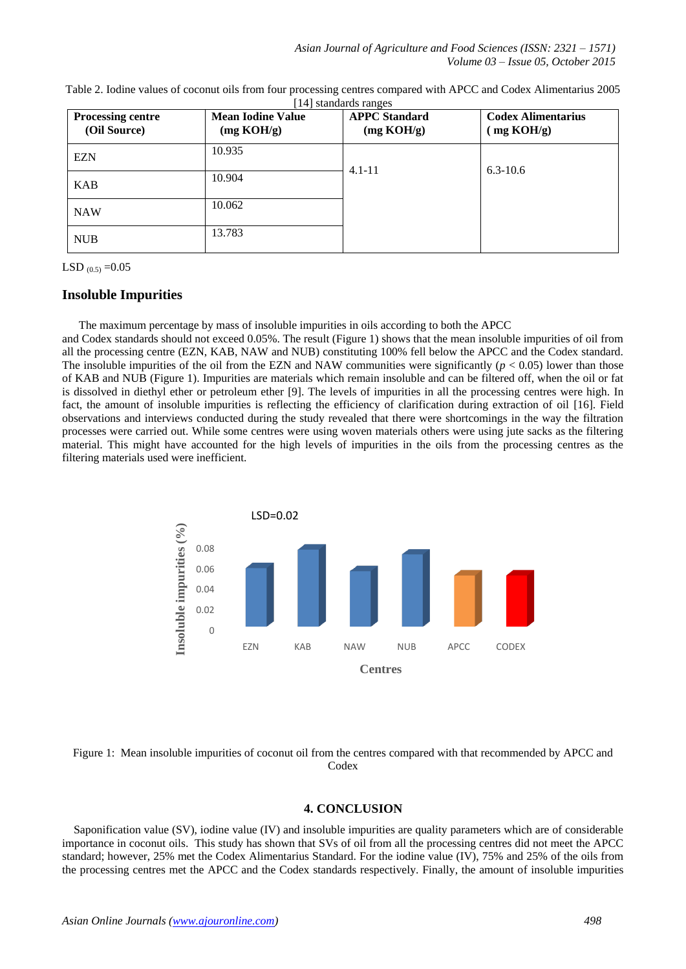| <b>Processing centre</b><br>(Oil Source) | <b>Mean Iodine Value</b><br>(mg KOH/g) | <b>APPC</b> Standard<br>(mg KOH/g) | <b>Codex Alimentarius</b><br>$\mu$ mg KOH/g) |
|------------------------------------------|----------------------------------------|------------------------------------|----------------------------------------------|
| <b>EZN</b>                               | 10.935                                 | $4.1 - 11$                         | $6.3 - 10.6$                                 |
| <b>KAB</b>                               | 10.904                                 |                                    |                                              |
| <b>NAW</b>                               | 10.062                                 |                                    |                                              |
| <b>NUB</b>                               | 13.783                                 |                                    |                                              |

| Table 2. Iodine values of coconut oils from four processing centres compared with APCC and Codex Alimentarius 2005 |  |
|--------------------------------------------------------------------------------------------------------------------|--|
| [14] standards ranges                                                                                              |  |

LSD  $_{(0.5)} = 0.05$ 

# **Insoluble Impurities**

The maximum percentage by mass of insoluble impurities in oils according to both the APCC

and Codex standards should not exceed 0.05%. The result (Figure 1) shows that the mean insoluble impurities of oil from all the processing centre (EZN, KAB, NAW and NUB) constituting 100% fell below the APCC and the Codex standard. The insoluble impurities of the oil from the EZN and NAW communities were significantly  $(p < 0.05)$  lower than those of KAB and NUB (Figure 1). Impurities are materials which remain insoluble and can be filtered off, when the oil or fat is dissolved in diethyl ether or petroleum ether [9]. The levels of impurities in all the processing centres were high. In fact, the amount of insoluble impurities is reflecting the efficiency of clarification during extraction of oil [16]. Field observations and interviews conducted during the study revealed that there were shortcomings in the way the filtration processes were carried out. While some centres were using woven materials others were using jute sacks as the filtering material. This might have accounted for the high levels of impurities in the oils from the processing centres as the filtering materials used were inefficient.



Figure 1: Mean insoluble impurities of coconut oil from the centres compared with that recommended by APCC and **Codex** 

# **4. CONCLUSION**

 Saponification value (SV), iodine value (IV) and insoluble impurities are quality parameters which are of considerable importance in coconut oils. This study has shown that SVs of oil from all the processing centres did not meet the APCC standard; however, 25% met the Codex Alimentarius Standard. For the iodine value (IV), 75% and 25% of the oils from the processing centres met the APCC and the Codex standards respectively. Finally, the amount of insoluble impurities